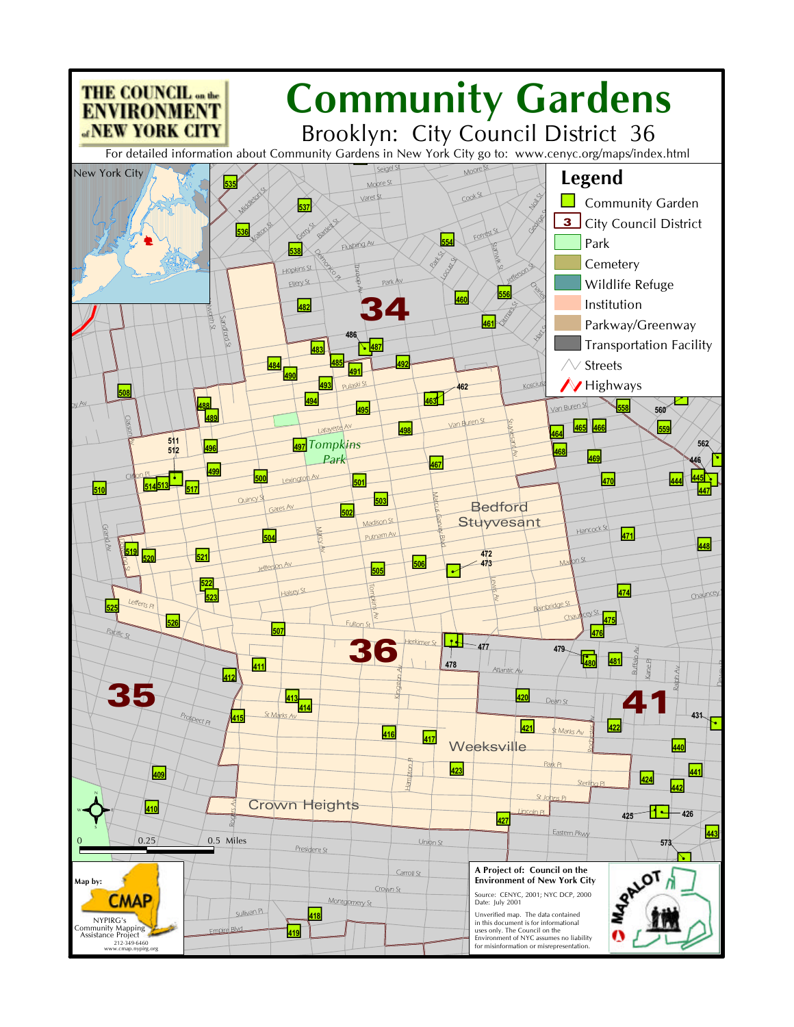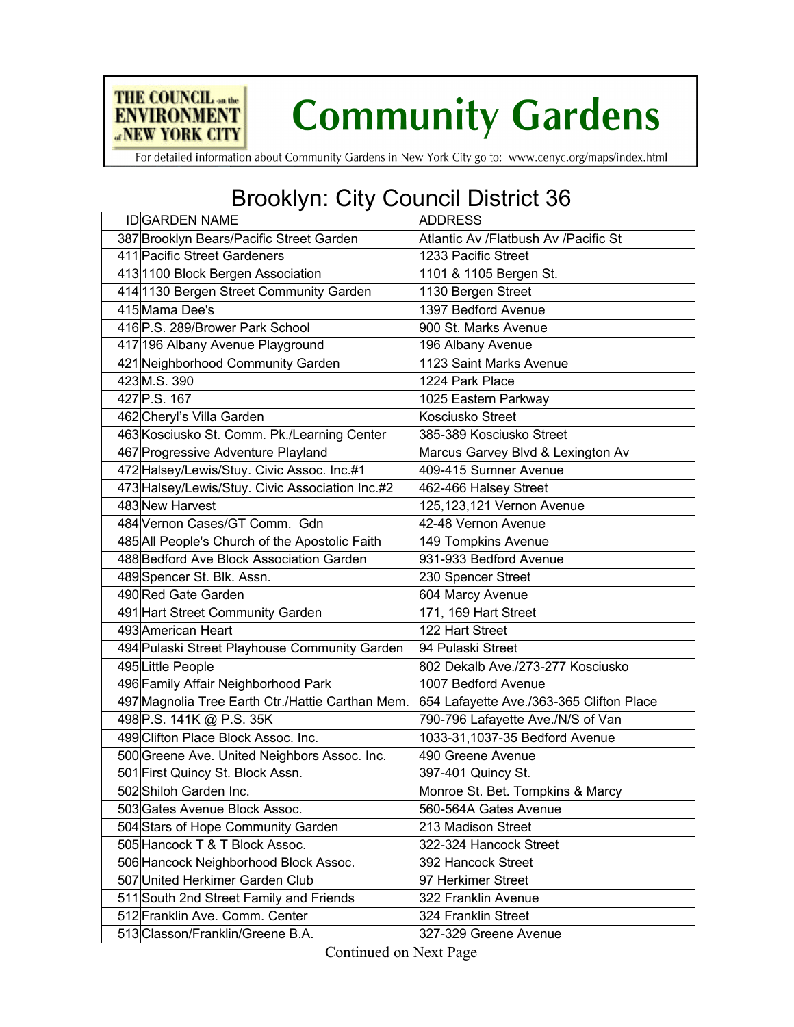

## **Community Gardens**

For detailed information about Community Gardens in New York City go to: www.cenyc.org/maps/index.html

## Brooklyn: City Council District 36

| <b>IDIGARDEN NAME</b>                            | <b>ADDRESS</b>                           |
|--------------------------------------------------|------------------------------------------|
| 387 Brooklyn Bears/Pacific Street Garden         | Atlantic Av /Flatbush Av /Pacific St     |
| 411 Pacific Street Gardeners                     | 1233 Pacific Street                      |
| 4131100 Block Bergen Association                 | 1101 & 1105 Bergen St.                   |
| 414 1130 Bergen Street Community Garden          | 1130 Bergen Street                       |
| 415 Mama Dee's                                   | 1397 Bedford Avenue                      |
| 416 P.S. 289/Brower Park School                  | 900 St. Marks Avenue                     |
| 417 196 Albany Avenue Playground                 | 196 Albany Avenue                        |
| 421 Neighborhood Community Garden                | 1123 Saint Marks Avenue                  |
| 423 M.S. 390                                     | 1224 Park Place                          |
| 427 P.S. 167                                     | 1025 Eastern Parkway                     |
| 462 Cheryl's Villa Garden                        | <b>Kosciusko Street</b>                  |
| 463 Kosciusko St. Comm. Pk./Learning Center      | 385-389 Kosciusko Street                 |
| 467 Progressive Adventure Playland               | Marcus Garvey Blvd & Lexington Av        |
| 472 Halsey/Lewis/Stuy. Civic Assoc. Inc.#1       | 409-415 Sumner Avenue                    |
| 473 Halsey/Lewis/Stuy. Civic Association Inc.#2  | 462-466 Halsey Street                    |
| 483 New Harvest                                  | 125, 123, 121 Vernon Avenue              |
| 484 Vernon Cases/GT Comm. Gdn                    | 42-48 Vernon Avenue                      |
| 485 All People's Church of the Apostolic Faith   | 149 Tompkins Avenue                      |
| 488 Bedford Ave Block Association Garden         | 931-933 Bedford Avenue                   |
| 489 Spencer St. Blk. Assn.                       | 230 Spencer Street                       |
| 490 Red Gate Garden                              | 604 Marcy Avenue                         |
| 491 Hart Street Community Garden                 | 171, 169 Hart Street                     |
| 493 American Heart                               | 122 Hart Street                          |
| 494 Pulaski Street Playhouse Community Garden    | 94 Pulaski Street                        |
| 495 Little People                                | 802 Dekalb Ave./273-277 Kosciusko        |
| 496 Family Affair Neighborhood Park              | 1007 Bedford Avenue                      |
| 497 Magnolia Tree Earth Ctr./Hattie Carthan Mem. | 654 Lafayette Ave./363-365 Clifton Place |
| 498 P.S. 141K @ P.S. 35K                         | 790-796 Lafayette Ave./N/S of Van        |
| 499 Clifton Place Block Assoc. Inc.              | 1033-31,1037-35 Bedford Avenue           |
| 500 Greene Ave. United Neighbors Assoc. Inc.     | 490 Greene Avenue                        |
| 501 First Quincy St. Block Assn.                 | 397-401 Quincy St.                       |
| 502 Shiloh Garden Inc.                           | Monroe St. Bet. Tompkins & Marcy         |
| 503 Gates Avenue Block Assoc.                    | 560-564A Gates Avenue                    |
| 504 Stars of Hope Community Garden               | 213 Madison Street                       |
| 505 Hancock T & T Block Assoc.                   | 322-324 Hancock Street                   |
| 506 Hancock Neighborhood Block Assoc.            | 392 Hancock Street                       |
| 507 United Herkimer Garden Club                  | 97 Herkimer Street                       |
| 511 South 2nd Street Family and Friends          | 322 Franklin Avenue                      |
| 512 Franklin Ave. Comm. Center                   | 324 Franklin Street                      |
| 513 Classon/Franklin/Greene B.A.                 | 327-329 Greene Avenue                    |
|                                                  |                                          |

Continued on Next Page